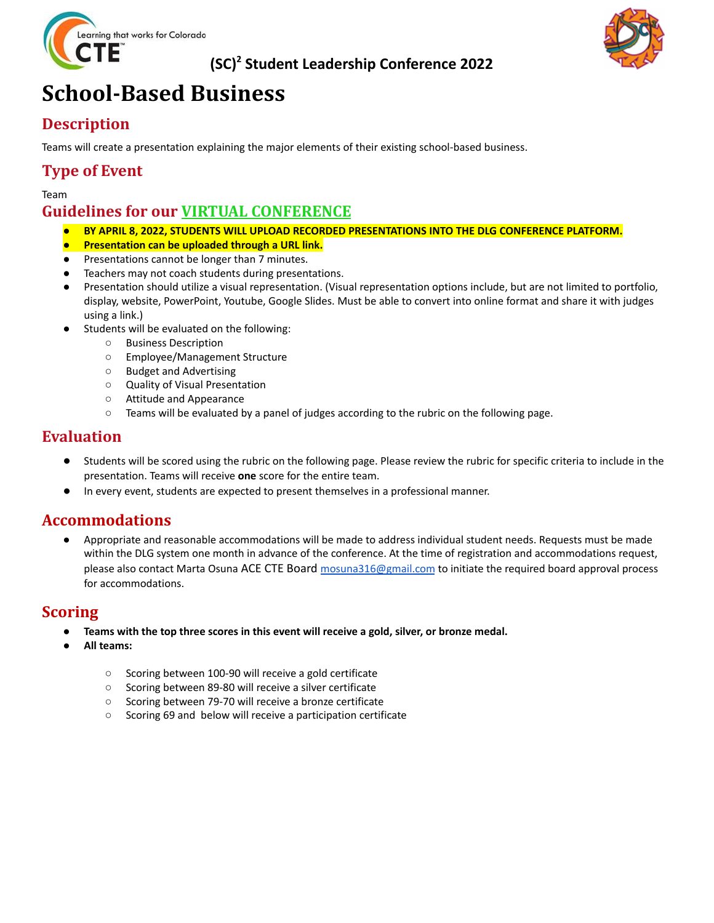

### **(SC) <sup>2</sup> Student Leadership Conference 2022**



# **School-Based Business**

### **Description**

Teams will create a presentation explaining the major elements of their existing school-based business.

#### **Type of Event**

Team

#### **Guidelines for our VIRTUAL CONFERENCE**

- *●* **BY APRIL 8, 2022, STUDENTS WILL UPLOAD RECORDED PRESENTATIONS INTO THE DLG CONFERENCE PLATFORM.**
- **Presentation can be uploaded through a URL link.**
- Presentations cannot be longer than 7 minutes.
- Teachers may not coach students during presentations.
- *●* Presentation should utilize a visual representation. (Visual representation options include, but are not limited to portfolio, display, website, PowerPoint, Youtube, Google Slides. Must be able to convert into online format and share it with judges using a link.)
- Students will be evaluated on the following:
	- *○* Business Description
	- *○* Employee/Management Structure
	- *○* Budget and Advertising
	- *○* Quality of Visual Presentation
	- *○* Attitude and Appearance
	- *○* Teams will be evaluated by a panel of judges according to the rubric on the following page.

#### **Evaluation**

- Students will be scored using the rubric on the following page. Please review the rubric for specific criteria to include in the presentation. Teams will receive **one** score for the entire team.
- In every event, students are expected to present themselves in a professional manner.

#### **Accommodations**

● Appropriate and reasonable accommodations will be made to address individual student needs. Requests must be made within the DLG system one month in advance of the conference. At the time of registration and accommodations request, please also contact Marta Osuna ACE CTE Board [mosuna316@gmail.com](mailto:mosuna316@gmail.com) to initiate the required board approval process for accommodations.

#### **Scoring**

- **● Teams with the top three scores in this event will receive a gold, silver, or bronze medal.**
- **● All teams:**
	- **○** Scoring between 100-90 will receive a gold certificate
	- **○** Scoring between 89-80 will receive a silver certificate
	- **○** Scoring between 79-70 will receive a bronze certificate
	- **○** Scoring 69 and below will receive a participation certificate